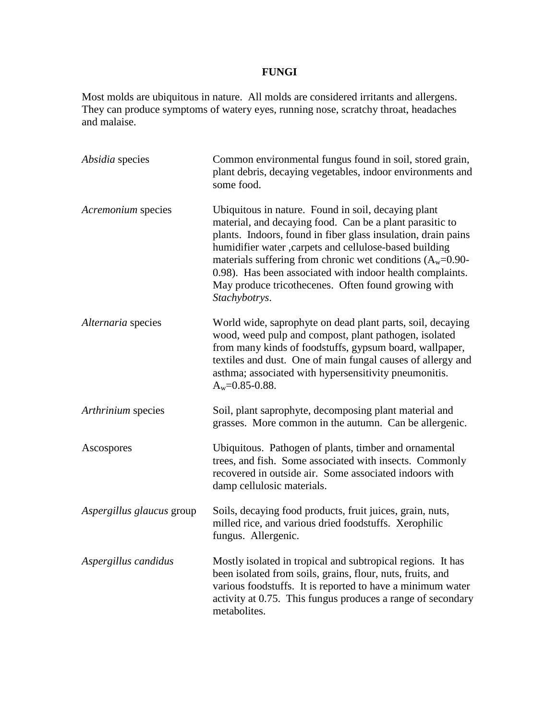## **FUNGI**

Most molds are ubiquitous in nature. All molds are considered irritants and allergens. They can produce symptoms of watery eyes, running nose, scratchy throat, headaches and malaise.

| Absidia species           | Common environmental fungus found in soil, stored grain,<br>plant debris, decaying vegetables, indoor environments and<br>some food.                                                                                                                                                                                                                                                                                                             |
|---------------------------|--------------------------------------------------------------------------------------------------------------------------------------------------------------------------------------------------------------------------------------------------------------------------------------------------------------------------------------------------------------------------------------------------------------------------------------------------|
| Acremonium species        | Ubiquitous in nature. Found in soil, decaying plant<br>material, and decaying food. Can be a plant parasitic to<br>plants. Indoors, found in fiber glass insulation, drain pains<br>humidifier water , carpets and cellulose-based building<br>materials suffering from chronic wet conditions $(A_w=0.90-$<br>0.98). Has been associated with indoor health complaints.<br>May produce tricothecenes. Often found growing with<br>Stachybotrys. |
| Alternaria species        | World wide, saprophyte on dead plant parts, soil, decaying<br>wood, weed pulp and compost, plant pathogen, isolated<br>from many kinds of foodstuffs, gypsum board, wallpaper,<br>textiles and dust. One of main fungal causes of allergy and<br>asthma; associated with hypersensitivity pneumonitis.<br>$A_w=0.85-0.88$ .                                                                                                                      |
| Arthrinium species        | Soil, plant saprophyte, decomposing plant material and<br>grasses. More common in the autumn. Can be allergenic.                                                                                                                                                                                                                                                                                                                                 |
| Ascospores                | Ubiquitous. Pathogen of plants, timber and ornamental<br>trees, and fish. Some associated with insects. Commonly<br>recovered in outside air. Some associated indoors with<br>damp cellulosic materials.                                                                                                                                                                                                                                         |
| Aspergillus glaucus group | Soils, decaying food products, fruit juices, grain, nuts,<br>milled rice, and various dried foodstuffs. Xerophilic<br>fungus. Allergenic.                                                                                                                                                                                                                                                                                                        |
| Aspergillus candidus      | Mostly isolated in tropical and subtropical regions. It has<br>been isolated from soils, grains, flour, nuts, fruits, and<br>various foodstuffs. It is reported to have a minimum water<br>activity at 0.75. This fungus produces a range of secondary<br>metabolites.                                                                                                                                                                           |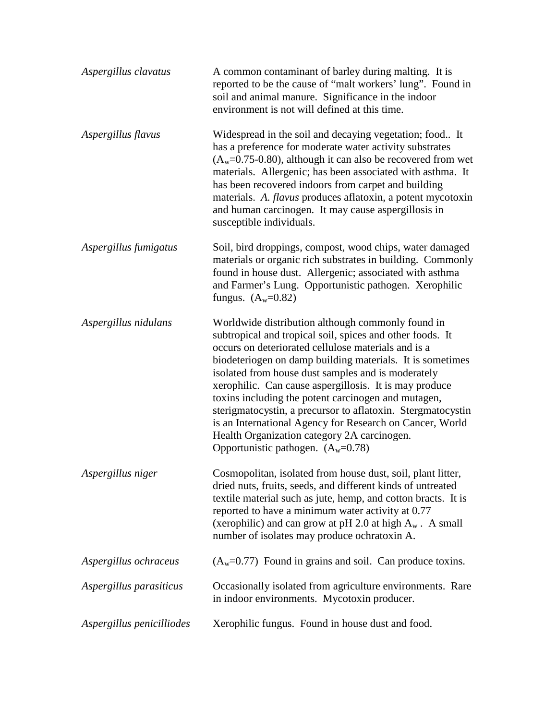| Aspergillus clavatus      | A common contaminant of barley during malting. It is<br>reported to be the cause of "malt workers' lung". Found in<br>soil and animal manure. Significance in the indoor<br>environment is not will defined at this time.                                                                                                                                                                                                                                                                                                                                                                                                   |
|---------------------------|-----------------------------------------------------------------------------------------------------------------------------------------------------------------------------------------------------------------------------------------------------------------------------------------------------------------------------------------------------------------------------------------------------------------------------------------------------------------------------------------------------------------------------------------------------------------------------------------------------------------------------|
| Aspergillus flavus        | Widespread in the soil and decaying vegetation; food It<br>has a preference for moderate water activity substrates<br>$(A_w=0.75-0.80)$ , although it can also be recovered from wet<br>materials. Allergenic; has been associated with asthma. It<br>has been recovered indoors from carpet and building<br>materials. A. <i>flavus</i> produces aflatoxin, a potent mycotoxin<br>and human carcinogen. It may cause aspergillosis in<br>susceptible individuals.                                                                                                                                                          |
| Aspergillus fumigatus     | Soil, bird droppings, compost, wood chips, water damaged<br>materials or organic rich substrates in building. Commonly<br>found in house dust. Allergenic; associated with asthma<br>and Farmer's Lung. Opportunistic pathogen. Xerophilic<br>fungus. $(A_w=0.82)$                                                                                                                                                                                                                                                                                                                                                          |
| Aspergillus nidulans      | Worldwide distribution although commonly found in<br>subtropical and tropical soil, spices and other foods. It<br>occurs on deteriorated cellulose materials and is a<br>biodeteriogen on damp building materials. It is sometimes<br>isolated from house dust samples and is moderately<br>xerophilic. Can cause aspergillosis. It is may produce<br>toxins including the potent carcinogen and mutagen,<br>sterigmatocystin, a precursor to aflatoxin. Stergmatocystin<br>is an International Agency for Research on Cancer, World<br>Health Organization category 2A carcinogen.<br>Opportunistic pathogen. $(A_w=0.78)$ |
| Aspergillus niger         | Cosmopolitan, isolated from house dust, soil, plant litter,<br>dried nuts, fruits, seeds, and different kinds of untreated<br>textile material such as jute, hemp, and cotton bracts. It is<br>reported to have a minimum water activity at 0.77<br>(xerophilic) and can grow at pH 2.0 at high $A_w$ . A small<br>number of isolates may produce ochratoxin A.                                                                                                                                                                                                                                                             |
| Aspergillus ochraceus     | $(A_w=0.77)$ Found in grains and soil. Can produce toxins.                                                                                                                                                                                                                                                                                                                                                                                                                                                                                                                                                                  |
| Aspergillus parasiticus   | Occasionally isolated from agriculture environments. Rare<br>in indoor environments. Mycotoxin producer.                                                                                                                                                                                                                                                                                                                                                                                                                                                                                                                    |
| Aspergillus penicilliodes | Xerophilic fungus. Found in house dust and food.                                                                                                                                                                                                                                                                                                                                                                                                                                                                                                                                                                            |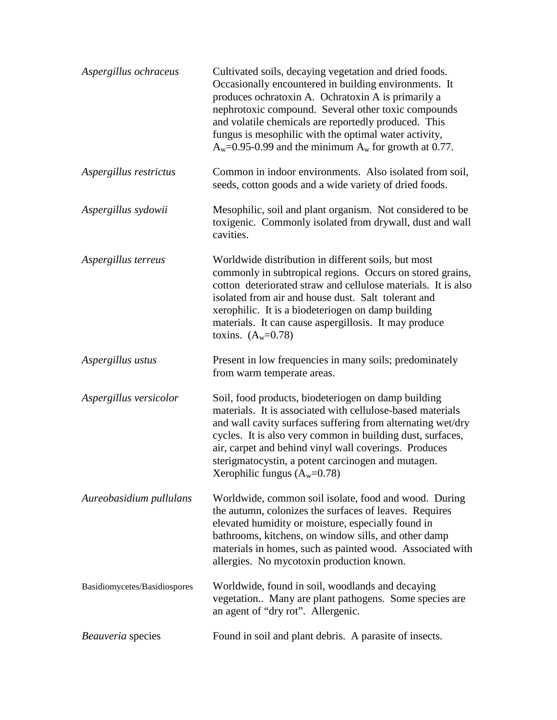| Aspergillus ochraceus        | Cultivated soils, decaying vegetation and dried foods.<br>Occasionally encountered in building environments. It<br>produces ochratoxin A. Ochratoxin A is primarily a<br>nephrotoxic compound. Several other toxic compounds<br>and volatile chemicals are reportedly produced. This<br>fungus is mesophilic with the optimal water activity,<br>$A_w$ =0.95-0.99 and the minimum $A_w$ for growth at 0.77. |
|------------------------------|-------------------------------------------------------------------------------------------------------------------------------------------------------------------------------------------------------------------------------------------------------------------------------------------------------------------------------------------------------------------------------------------------------------|
| Aspergillus restrictus       | Common in indoor environments. Also isolated from soil,<br>seeds, cotton goods and a wide variety of dried foods.                                                                                                                                                                                                                                                                                           |
| Aspergillus sydowii          | Mesophilic, soil and plant organism. Not considered to be<br>toxigenic. Commonly isolated from drywall, dust and wall<br>cavities.                                                                                                                                                                                                                                                                          |
| Aspergillus terreus          | Worldwide distribution in different soils, but most<br>commonly in subtropical regions. Occurs on stored grains,<br>cotton deteriorated straw and cellulose materials. It is also<br>isolated from air and house dust. Salt tolerant and<br>xerophilic. It is a biodeteriogen on damp building<br>materials. It can cause aspergillosis. It may produce<br>toxins. $(A_w=0.78)$                             |
| Aspergillus ustus            | Present in low frequencies in many soils; predominately<br>from warm temperate areas.                                                                                                                                                                                                                                                                                                                       |
| Aspergillus versicolor       | Soil, food products, biodeteriogen on damp building<br>materials. It is associated with cellulose-based materials<br>and wall cavity surfaces suffering from alternating wet/dry<br>cycles. It is also very common in building dust, surfaces,<br>air, carpet and behind vinyl wall coverings. Produces<br>sterigmatocystin, a potent carcinogen and mutagen.<br>Xerophilic fungus $(A_w=0.78)$             |
| Aureobasidium pullulans      | Worldwide, common soil isolate, food and wood. During<br>the autumn, colonizes the surfaces of leaves. Requires<br>elevated humidity or moisture, especially found in<br>bathrooms, kitchens, on window sills, and other damp<br>materials in homes, such as painted wood. Associated with<br>allergies. No mycotoxin production known.                                                                     |
| Basidiomycetes/Basidiospores | Worldwide, found in soil, woodlands and decaying<br>vegetation Many are plant pathogens. Some species are<br>an agent of "dry rot". Allergenic.                                                                                                                                                                                                                                                             |
| Beauveria species            | Found in soil and plant debris. A parasite of insects.                                                                                                                                                                                                                                                                                                                                                      |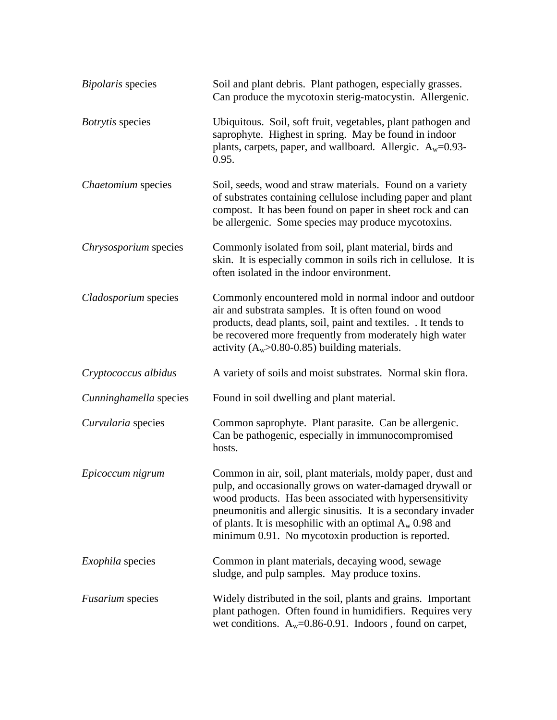| <b>Bipolaris</b> species | Soil and plant debris. Plant pathogen, especially grasses.<br>Can produce the mycotoxin sterig-matocystin. Allergenic.                                                                                                                                                                                                                                                   |
|--------------------------|--------------------------------------------------------------------------------------------------------------------------------------------------------------------------------------------------------------------------------------------------------------------------------------------------------------------------------------------------------------------------|
| Botrytis species         | Ubiquitous. Soil, soft fruit, vegetables, plant pathogen and<br>saprophyte. Highest in spring. May be found in indoor<br>plants, carpets, paper, and wallboard. Allergic. $A_w=0.93-$<br>0.95.                                                                                                                                                                           |
| Chaetomium species       | Soil, seeds, wood and straw materials. Found on a variety<br>of substrates containing cellulose including paper and plant<br>compost. It has been found on paper in sheet rock and can<br>be allergenic. Some species may produce mycotoxins.                                                                                                                            |
| Chrysosporium species    | Commonly isolated from soil, plant material, birds and<br>skin. It is especially common in soils rich in cellulose. It is<br>often isolated in the indoor environment.                                                                                                                                                                                                   |
| Cladosporium species     | Commonly encountered mold in normal indoor and outdoor<br>air and substrata samples. It is often found on wood<br>products, dead plants, soil, paint and textiles. . It tends to<br>be recovered more frequently from moderately high water<br>activity $(A_w>0.80-0.85)$ building materials.                                                                            |
| Cryptococcus albidus     | A variety of soils and moist substrates. Normal skin flora.                                                                                                                                                                                                                                                                                                              |
| Cunninghamella species   | Found in soil dwelling and plant material.                                                                                                                                                                                                                                                                                                                               |
| Curvularia species       | Common saprophyte. Plant parasite. Can be allergenic.<br>Can be pathogenic, especially in immunocompromised<br>hosts.                                                                                                                                                                                                                                                    |
| Epicoccum nigrum         | Common in air, soil, plant materials, moldy paper, dust and<br>pulp, and occasionally grows on water-damaged drywall or<br>wood products. Has been associated with hypersensitivity<br>pneumonitis and allergic sinusitis. It is a secondary invader<br>of plants. It is mesophilic with an optimal $A_w$ 0.98 and<br>minimum 0.91. No mycotoxin production is reported. |
| <i>Exophila</i> species  | Common in plant materials, decaying wood, sewage<br>sludge, and pulp samples. May produce toxins.                                                                                                                                                                                                                                                                        |
| <i>Fusarium</i> species  | Widely distributed in the soil, plants and grains. Important<br>plant pathogen. Often found in humidifiers. Requires very<br>wet conditions. $A_w=0.86-0.91$ . Indoors, found on carpet,                                                                                                                                                                                 |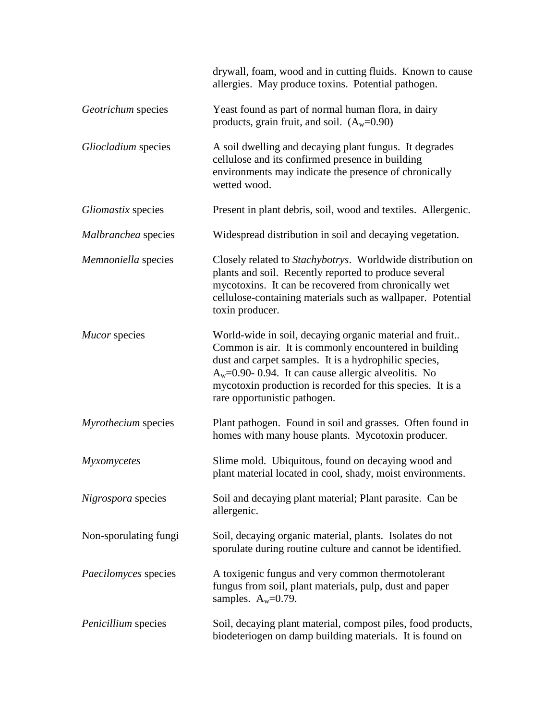|                       | drywall, foam, wood and in cutting fluids. Known to cause<br>allergies. May produce toxins. Potential pathogen.                                                                                                                                                                                                                   |
|-----------------------|-----------------------------------------------------------------------------------------------------------------------------------------------------------------------------------------------------------------------------------------------------------------------------------------------------------------------------------|
| Geotrichum species    | Yeast found as part of normal human flora, in dairy<br>products, grain fruit, and soil. $(A_w=0.90)$                                                                                                                                                                                                                              |
| Gliocladium species   | A soil dwelling and decaying plant fungus. It degrades<br>cellulose and its confirmed presence in building<br>environments may indicate the presence of chronically<br>wetted wood.                                                                                                                                               |
| Gliomastix species    | Present in plant debris, soil, wood and textiles. Allergenic.                                                                                                                                                                                                                                                                     |
| Malbranchea species   | Widespread distribution in soil and decaying vegetation.                                                                                                                                                                                                                                                                          |
| Memnoniella species   | Closely related to Stachybotrys. Worldwide distribution on<br>plants and soil. Recently reported to produce several<br>mycotoxins. It can be recovered from chronically wet<br>cellulose-containing materials such as wallpaper. Potential<br>toxin producer.                                                                     |
| Mucor species         | World-wide in soil, decaying organic material and fruit<br>Common is air. It is commonly encountered in building<br>dust and carpet samples. It is a hydrophilic species,<br>$A_w=0.90-0.94$ . It can cause allergic alveolitis. No<br>mycotoxin production is recorded for this species. It is a<br>rare opportunistic pathogen. |
| Myrothecium species   | Plant pathogen. Found in soil and grasses. Often found in<br>homes with many house plants. Mycotoxin producer.                                                                                                                                                                                                                    |
| Myxomycetes           | Slime mold. Ubiquitous, found on decaying wood and<br>plant material located in cool, shady, moist environments.                                                                                                                                                                                                                  |
| Nigrospora species    | Soil and decaying plant material; Plant parasite. Can be<br>allergenic.                                                                                                                                                                                                                                                           |
| Non-sporulating fungi | Soil, decaying organic material, plants. Isolates do not<br>sporulate during routine culture and cannot be identified.                                                                                                                                                                                                            |
| Paecilomyces species  | A toxigenic fungus and very common thermotolerant<br>fungus from soil, plant materials, pulp, dust and paper<br>samples. $A_w=0.79$ .                                                                                                                                                                                             |
| Penicillium species   | Soil, decaying plant material, compost piles, food products,<br>biodeteriogen on damp building materials. It is found on                                                                                                                                                                                                          |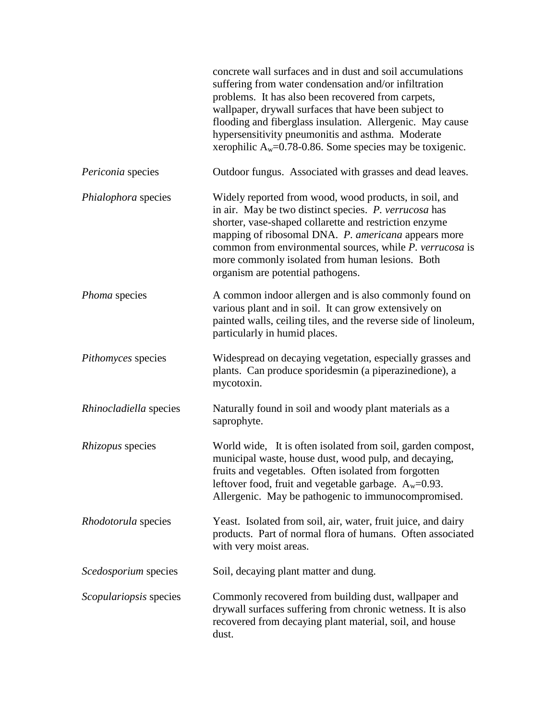|                        | concrete wall surfaces and in dust and soil accumulations<br>suffering from water condensation and/or infiltration<br>problems. It has also been recovered from carpets,<br>wallpaper, drywall surfaces that have been subject to<br>flooding and fiberglass insulation. Allergenic. May cause<br>hypersensitivity pneumonitis and asthma. Moderate<br>xerophilic $A_w=0.78-0.86$ . Some species may be toxigenic. |
|------------------------|--------------------------------------------------------------------------------------------------------------------------------------------------------------------------------------------------------------------------------------------------------------------------------------------------------------------------------------------------------------------------------------------------------------------|
| Periconia species      | Outdoor fungus. Associated with grasses and dead leaves.                                                                                                                                                                                                                                                                                                                                                           |
| Phialophora species    | Widely reported from wood, wood products, in soil, and<br>in air. May be two distinct species. P. verrucosa has<br>shorter, vase-shaped collarette and restriction enzyme<br>mapping of ribosomal DNA. P. americana appears more<br>common from environmental sources, while P. verrucosa is<br>more commonly isolated from human lesions. Both<br>organism are potential pathogens.                               |
| Phoma species          | A common indoor allergen and is also commonly found on<br>various plant and in soil. It can grow extensively on<br>painted walls, ceiling tiles, and the reverse side of linoleum,<br>particularly in humid places.                                                                                                                                                                                                |
| Pithomyces species     | Widespread on decaying vegetation, especially grasses and<br>plants. Can produce sporidesmin (a piperazinedione), a<br>mycotoxin.                                                                                                                                                                                                                                                                                  |
| Rhinocladiella species | Naturally found in soil and woody plant materials as a<br>saprophyte.                                                                                                                                                                                                                                                                                                                                              |
| Rhizopus species       | World wide, It is often isolated from soil, garden compost,<br>municipal waste, house dust, wood pulp, and decaying,<br>fruits and vegetables. Often isolated from forgotten<br>leftover food, fruit and vegetable garbage. $A_w=0.93$ .<br>Allergenic. May be pathogenic to immunocompromised.                                                                                                                    |
| Rhodotorula species    | Yeast. Isolated from soil, air, water, fruit juice, and dairy<br>products. Part of normal flora of humans. Often associated<br>with very moist areas.                                                                                                                                                                                                                                                              |
| Scedosporium species   | Soil, decaying plant matter and dung.                                                                                                                                                                                                                                                                                                                                                                              |
| Scopulariopsis species | Commonly recovered from building dust, wallpaper and<br>drywall surfaces suffering from chronic wetness. It is also<br>recovered from decaying plant material, soil, and house<br>dust.                                                                                                                                                                                                                            |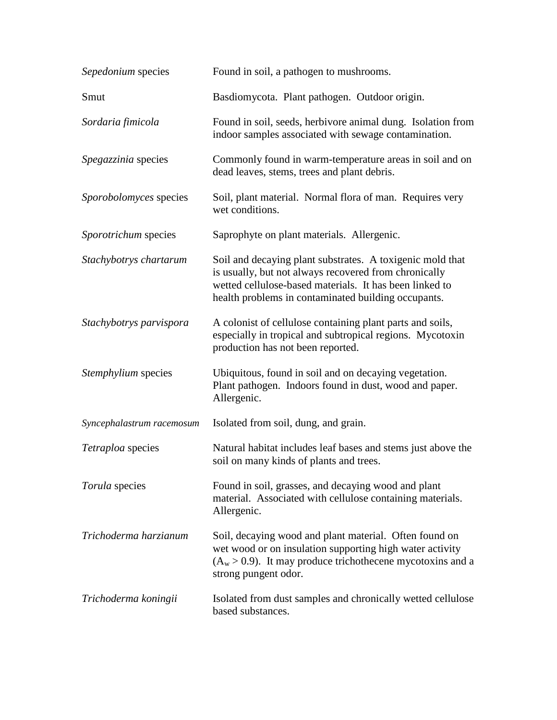| Sepedonium species        | Found in soil, a pathogen to mushrooms.                                                                                                                                                                                              |
|---------------------------|--------------------------------------------------------------------------------------------------------------------------------------------------------------------------------------------------------------------------------------|
| Smut                      | Basdiomycota. Plant pathogen. Outdoor origin.                                                                                                                                                                                        |
| Sordaria fimicola         | Found in soil, seeds, herbivore animal dung. Isolation from<br>indoor samples associated with sewage contamination.                                                                                                                  |
| Spegazzinia species       | Commonly found in warm-temperature areas in soil and on<br>dead leaves, stems, trees and plant debris.                                                                                                                               |
| Sporobolomyces species    | Soil, plant material. Normal flora of man. Requires very<br>wet conditions.                                                                                                                                                          |
| Sporotrichum species      | Saprophyte on plant materials. Allergenic.                                                                                                                                                                                           |
| Stachybotrys chartarum    | Soil and decaying plant substrates. A toxigenic mold that<br>is usually, but not always recovered from chronically<br>wetted cellulose-based materials. It has been linked to<br>health problems in contaminated building occupants. |
| Stachybotrys parvispora   | A colonist of cellulose containing plant parts and soils,<br>especially in tropical and subtropical regions. Mycotoxin<br>production has not been reported.                                                                          |
| Stemphylium species       | Ubiquitous, found in soil and on decaying vegetation.<br>Plant pathogen. Indoors found in dust, wood and paper.<br>Allergenic.                                                                                                       |
| Syncephalastrum racemosum | Isolated from soil, dung, and grain.                                                                                                                                                                                                 |
| Tetraploa species         | Natural habitat includes leaf bases and stems just above the<br>soil on many kinds of plants and trees.                                                                                                                              |
| Torula species            | Found in soil, grasses, and decaying wood and plant<br>material. Associated with cellulose containing materials.<br>Allergenic.                                                                                                      |
| Trichoderma harzianum     | Soil, decaying wood and plant material. Often found on<br>wet wood or on insulation supporting high water activity<br>$(A_w > 0.9)$ . It may produce trichothecene mycotoxins and a<br>strong pungent odor.                          |
| Trichoderma koningii      | Isolated from dust samples and chronically wetted cellulose<br>based substances.                                                                                                                                                     |